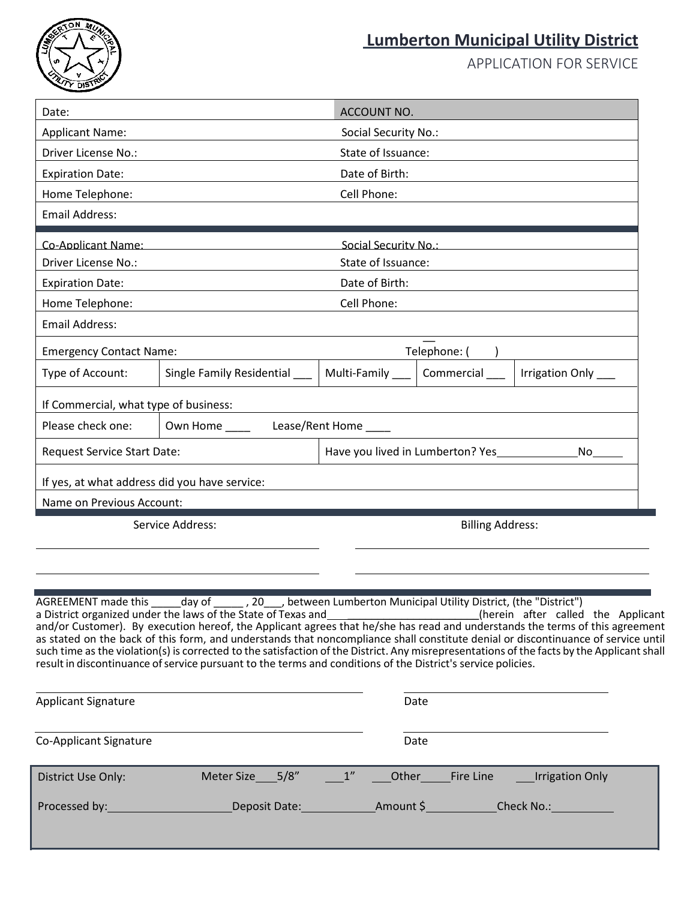

## **Lumberton Municipal Utility District**

APPLICATION FOR SERVICE

| Date:                                                                                                                                                                                                                                                                                                                                                                                                                                                                                                                                                                                                                                                                                         |                           |  | ACCOUNT NO.                                                                    |                 |                        |  |
|-----------------------------------------------------------------------------------------------------------------------------------------------------------------------------------------------------------------------------------------------------------------------------------------------------------------------------------------------------------------------------------------------------------------------------------------------------------------------------------------------------------------------------------------------------------------------------------------------------------------------------------------------------------------------------------------------|---------------------------|--|--------------------------------------------------------------------------------|-----------------|------------------------|--|
| <b>Applicant Name:</b>                                                                                                                                                                                                                                                                                                                                                                                                                                                                                                                                                                                                                                                                        |                           |  | Social Security No.:                                                           |                 |                        |  |
| Driver License No.:                                                                                                                                                                                                                                                                                                                                                                                                                                                                                                                                                                                                                                                                           |                           |  | State of Issuance:                                                             |                 |                        |  |
| <b>Expiration Date:</b>                                                                                                                                                                                                                                                                                                                                                                                                                                                                                                                                                                                                                                                                       |                           |  | Date of Birth:                                                                 |                 |                        |  |
| Home Telephone:                                                                                                                                                                                                                                                                                                                                                                                                                                                                                                                                                                                                                                                                               |                           |  | Cell Phone:                                                                    |                 |                        |  |
| <b>Email Address:</b>                                                                                                                                                                                                                                                                                                                                                                                                                                                                                                                                                                                                                                                                         |                           |  |                                                                                |                 |                        |  |
| <b>Co-Applicant Name:</b>                                                                                                                                                                                                                                                                                                                                                                                                                                                                                                                                                                                                                                                                     |                           |  | Social Security No.:                                                           |                 |                        |  |
| Driver License No.:                                                                                                                                                                                                                                                                                                                                                                                                                                                                                                                                                                                                                                                                           |                           |  | State of Issuance:                                                             |                 |                        |  |
| <b>Expiration Date:</b>                                                                                                                                                                                                                                                                                                                                                                                                                                                                                                                                                                                                                                                                       |                           |  | Date of Birth:                                                                 |                 |                        |  |
| Home Telephone:                                                                                                                                                                                                                                                                                                                                                                                                                                                                                                                                                                                                                                                                               |                           |  | Cell Phone:                                                                    |                 |                        |  |
| <b>Email Address:</b>                                                                                                                                                                                                                                                                                                                                                                                                                                                                                                                                                                                                                                                                         |                           |  |                                                                                |                 |                        |  |
| <b>Emergency Contact Name:</b>                                                                                                                                                                                                                                                                                                                                                                                                                                                                                                                                                                                                                                                                |                           |  | Telephone: (                                                                   |                 |                        |  |
| Type of Account:                                                                                                                                                                                                                                                                                                                                                                                                                                                                                                                                                                                                                                                                              | Single Family Residential |  | Multi-Family ___                                                               | Commercial      | <b>Irrigation Only</b> |  |
| If Commercial, what type of business:                                                                                                                                                                                                                                                                                                                                                                                                                                                                                                                                                                                                                                                         |                           |  |                                                                                |                 |                        |  |
| Please check one:                                                                                                                                                                                                                                                                                                                                                                                                                                                                                                                                                                                                                                                                             | Own Home _____            |  | Lease/Rent Home                                                                |                 |                        |  |
| Request Service Start Date:                                                                                                                                                                                                                                                                                                                                                                                                                                                                                                                                                                                                                                                                   |                           |  | Have you lived in Lumberton? Yes<br>No.                                        |                 |                        |  |
| If yes, at what address did you have service:                                                                                                                                                                                                                                                                                                                                                                                                                                                                                                                                                                                                                                                 |                           |  |                                                                                |                 |                        |  |
| Name on Previous Account:                                                                                                                                                                                                                                                                                                                                                                                                                                                                                                                                                                                                                                                                     |                           |  |                                                                                |                 |                        |  |
|                                                                                                                                                                                                                                                                                                                                                                                                                                                                                                                                                                                                                                                                                               | Service Address:          |  | <b>Billing Address:</b>                                                        |                 |                        |  |
|                                                                                                                                                                                                                                                                                                                                                                                                                                                                                                                                                                                                                                                                                               |                           |  |                                                                                |                 |                        |  |
|                                                                                                                                                                                                                                                                                                                                                                                                                                                                                                                                                                                                                                                                                               |                           |  |                                                                                |                 |                        |  |
|                                                                                                                                                                                                                                                                                                                                                                                                                                                                                                                                                                                                                                                                                               |                           |  |                                                                                |                 |                        |  |
| AGREEMENT made this _____ day of<br>a District organized under the laws of the State of Texas and<br>and contal contal contact the Applicant (he Applicant<br>and/or Customer). By execution hereof, the Applicant agrees that he/she has read and understands the terms of this agreement<br>as stated on the back of this form, and understands that noncompliance shall constitute denial or discontinuance of service until<br>such time as the violation(s) is corrected to the satisfaction of the District. Any misrepresentations of the facts by the Applicant shall<br>result in discontinuance of service pursuant to the terms and conditions of the District's service policies. |                           |  | ______, 20____, between Lumberton Municipal Utility District, (the "District") |                 |                        |  |
| <b>Applicant Signature</b>                                                                                                                                                                                                                                                                                                                                                                                                                                                                                                                                                                                                                                                                    |                           |  |                                                                                | Date            |                        |  |
|                                                                                                                                                                                                                                                                                                                                                                                                                                                                                                                                                                                                                                                                                               |                           |  |                                                                                | Date            |                        |  |
| Co-Applicant Signature                                                                                                                                                                                                                                                                                                                                                                                                                                                                                                                                                                                                                                                                        |                           |  |                                                                                |                 |                        |  |
| District Use Only:                                                                                                                                                                                                                                                                                                                                                                                                                                                                                                                                                                                                                                                                            | Meter Size_____5/8"       |  | 1''                                                                            | Other Fire Line | ___Irrigation Only     |  |